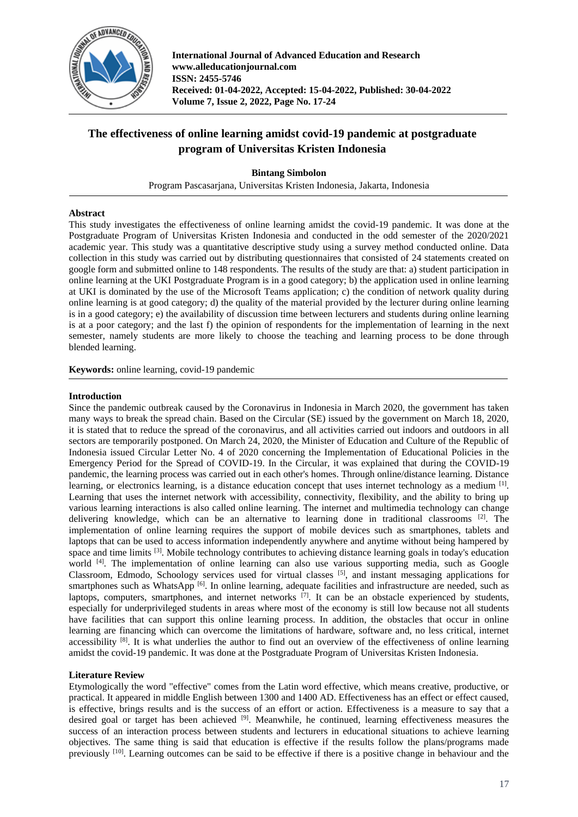

**International Journal of Advanced Education and Research www.alleducationjournal.com ISSN: 2455-5746 Received: 01-04-2022, Accepted: 15-04-2022, Published: 30-04-2022 Volume 7, Issue 2, 2022, Page No. 17-24**

# **The effectiveness of online learning amidst covid-19 pandemic at postgraduate program of Universitas Kristen Indonesia**

## **Bintang Simbolon**

Program Pascasarjana, Universitas Kristen Indonesia, Jakarta, Indonesia

## **Abstract**

This study investigates the effectiveness of online learning amidst the covid-19 pandemic. It was done at the Postgraduate Program of Universitas Kristen Indonesia and conducted in the odd semester of the 2020/2021 academic year. This study was a quantitative descriptive study using a survey method conducted online. Data collection in this study was carried out by distributing questionnaires that consisted of 24 statements created on google form and submitted online to 148 respondents. The results of the study are that: a) student participation in online learning at the UKI Postgraduate Program is in a good category; b) the application used in online learning at UKI is dominated by the use of the Microsoft Teams application; c) the condition of network quality during online learning is at good category; d) the quality of the material provided by the lecturer during online learning is in a good category; e) the availability of discussion time between lecturers and students during online learning is at a poor category; and the last f) the opinion of respondents for the implementation of learning in the next semester, namely students are more likely to choose the teaching and learning process to be done through blended learning.

**Keywords:** online learning, covid-19 pandemic

## **Introduction**

Since the pandemic outbreak caused by the Coronavirus in Indonesia in March 2020, the government has taken many ways to break the spread chain. Based on the Circular (SE) issued by the government on March 18, 2020, it is stated that to reduce the spread of the coronavirus, and all activities carried out indoors and outdoors in all sectors are temporarily postponed. On March 24, 2020, the Minister of Education and Culture of the Republic of Indonesia issued Circular Letter No. 4 of 2020 concerning the Implementation of Educational Policies in the Emergency Period for the Spread of COVID-19. In the Circular, it was explained that during the COVID-19 pandemic, the learning process was carried out in each other's homes. Through online/distance learning. Distance learning, or electronics learning, is a distance education concept that uses internet technology as a medium [1]. Learning that uses the internet network with accessibility, connectivity, flexibility, and the ability to bring up various learning interactions is also called online learning. The internet and multimedia technology can change delivering knowledge, which can be an alternative to learning done in traditional classrooms [2]. The implementation of online learning requires the support of mobile devices such as smartphones, tablets and laptops that can be used to access information independently anywhere and anytime without being hampered by space and time limits <sup>[3]</sup>. Mobile technology contributes to achieving distance learning goals in today's education world <sup>[4]</sup>. The implementation of online learning can also use various supporting media, such as Google Classroom, Edmodo, Schoology services used for virtual classes  $[5]$ , and instant messaging applications for smartphones such as WhatsApp [6]. In online learning, adequate facilities and infrastructure are needed, such as laptops, computers, smartphones, and internet networks <sup>[7]</sup>. It can be an obstacle experienced by students, especially for underprivileged students in areas where most of the economy is still low because not all students have facilities that can support this online learning process. In addition, the obstacles that occur in online learning are financing which can overcome the limitations of hardware, software and, no less critical, internet accessibility [8]. It is what underlies the author to find out an overview of the effectiveness of online learning amidst the covid-19 pandemic. It was done at the Postgraduate Program of Universitas Kristen Indonesia.

## **Literature Review**

Etymologically the word "effective" comes from the Latin word effective, which means creative, productive, or practical. It appeared in middle English between 1300 and 1400 AD. Effectiveness has an effect or effect caused, is effective, brings results and is the success of an effort or action. Effectiveness is a measure to say that a desired goal or target has been achieved [9]. Meanwhile, he continued, learning effectiveness measures the success of an interaction process between students and lecturers in educational situations to achieve learning objectives. The same thing is said that education is effective if the results follow the plans/programs made previously <sup>[10]</sup>. Learning outcomes can be said to be effective if there is a positive change in behaviour and the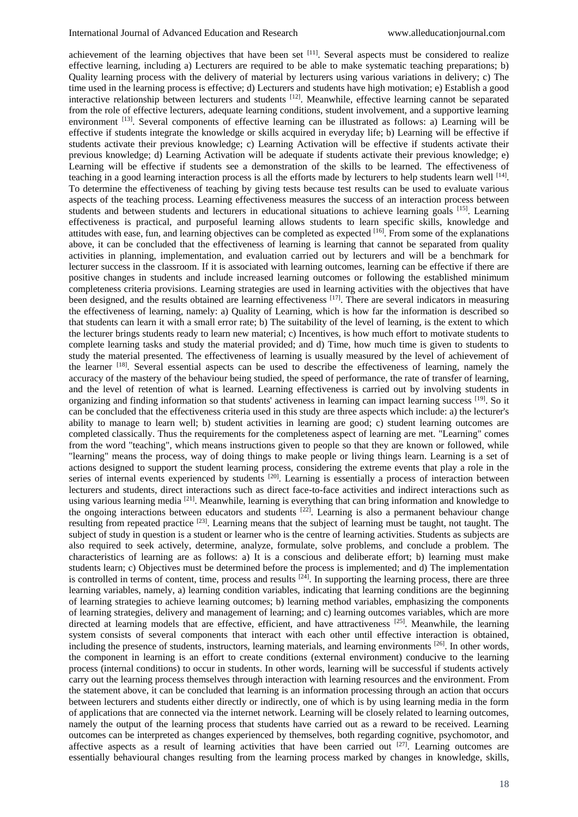achievement of the learning objectives that have been set [11]. Several aspects must be considered to realize effective learning, including a) Lecturers are required to be able to make systematic teaching preparations; b) Quality learning process with the delivery of material by lecturers using various variations in delivery; c) The time used in the learning process is effective; d) Lecturers and students have high motivation; e) Establish a good interactive relationship between lecturers and students  $[12]$ . Meanwhile, effective learning cannot be separated from the role of effective lecturers, adequate learning conditions, student involvement, and a supportive learning environment [13]. Several components of effective learning can be illustrated as follows: a) Learning will be effective if students integrate the knowledge or skills acquired in everyday life; b) Learning will be effective if students activate their previous knowledge; c) Learning Activation will be effective if students activate their previous knowledge; d) Learning Activation will be adequate if students activate their previous knowledge; e) Learning will be effective if students see a demonstration of the skills to be learned. The effectiveness of teaching in a good learning interaction process is all the efforts made by lecturers to help students learn well  $^{[14]}$ . To determine the effectiveness of teaching by giving tests because test results can be used to evaluate various aspects of the teaching process. Learning effectiveness measures the success of an interaction process between students and between students and lecturers in educational situations to achieve learning goals [15]. Learning effectiveness is practical, and purposeful learning allows students to learn specific skills, knowledge and attitudes with ease, fun, and learning objectives can be completed as expected [16]. From some of the explanations above, it can be concluded that the effectiveness of learning is learning that cannot be separated from quality activities in planning, implementation, and evaluation carried out by lecturers and will be a benchmark for lecturer success in the classroom. If it is associated with learning outcomes, learning can be effective if there are positive changes in students and include increased learning outcomes or following the established minimum completeness criteria provisions. Learning strategies are used in learning activities with the objectives that have been designed, and the results obtained are learning effectiveness [17]. There are several indicators in measuring the effectiveness of learning, namely: a) Quality of Learning, which is how far the information is described so that students can learn it with a small error rate; b) The suitability of the level of learning, is the extent to which the lecturer brings students ready to learn new material; c) Incentives, is how much effort to motivate students to complete learning tasks and study the material provided; and d) Time, how much time is given to students to study the material presented. The effectiveness of learning is usually measured by the level of achievement of the learner [18]. Several essential aspects can be used to describe the effectiveness of learning, namely the accuracy of the mastery of the behaviour being studied, the speed of performance, the rate of transfer of learning, and the level of retention of what is learned. Learning effectiveness is carried out by involving students in organizing and finding information so that students' activeness in learning can impact learning success [19]. So it can be concluded that the effectiveness criteria used in this study are three aspects which include: a) the lecturer's ability to manage to learn well; b) student activities in learning are good; c) student learning outcomes are completed classically. Thus the requirements for the completeness aspect of learning are met. "Learning" comes from the word "teaching", which means instructions given to people so that they are known or followed, while "learning" means the process, way of doing things to make people or living things learn. Learning is a set of actions designed to support the student learning process, considering the extreme events that play a role in the series of internal events experienced by students <sup>[20]</sup>. Learning is essentially a process of interaction between lecturers and students, direct interactions such as direct face-to-face activities and indirect interactions such as using various learning media <a>[21]</a>. Meanwhile, learning is everything that can bring information and knowledge to the ongoing interactions between educators and students  $[22]$ . Learning is also a permanent behaviour change resulting from repeated practice [23]. Learning means that the subject of learning must be taught, not taught. The subject of study in question is a student or learner who is the centre of learning activities. Students as subjects are also required to seek actively, determine, analyze, formulate, solve problems, and conclude a problem. The characteristics of learning are as follows: a) It is a conscious and deliberate effort; b) learning must make students learn; c) Objectives must be determined before the process is implemented; and d) The implementation is controlled in terms of content, time, process and results  $[24]$ . In supporting the learning process, there are three learning variables, namely, a) learning condition variables, indicating that learning conditions are the beginning of learning strategies to achieve learning outcomes; b) learning method variables, emphasizing the components of learning strategies, delivery and management of learning; and c) learning outcomes variables, which are more directed at learning models that are effective, efficient, and have attractiveness <sup>[25]</sup>. Meanwhile, the learning system consists of several components that interact with each other until effective interaction is obtained, including the presence of students, instructors, learning materials, and learning environments [26]. In other words, the component in learning is an effort to create conditions (external environment) conducive to the learning process (internal conditions) to occur in students. In other words, learning will be successful if students actively carry out the learning process themselves through interaction with learning resources and the environment. From the statement above, it can be concluded that learning is an information processing through an action that occurs between lecturers and students either directly or indirectly, one of which is by using learning media in the form of applications that are connected via the internet network. Learning will be closely related to learning outcomes, namely the output of the learning process that students have carried out as a reward to be received. Learning outcomes can be interpreted as changes experienced by themselves, both regarding cognitive, psychomotor, and affective aspects as a result of learning activities that have been carried out  $[27]$ . Learning outcomes are essentially behavioural changes resulting from the learning process marked by changes in knowledge, skills,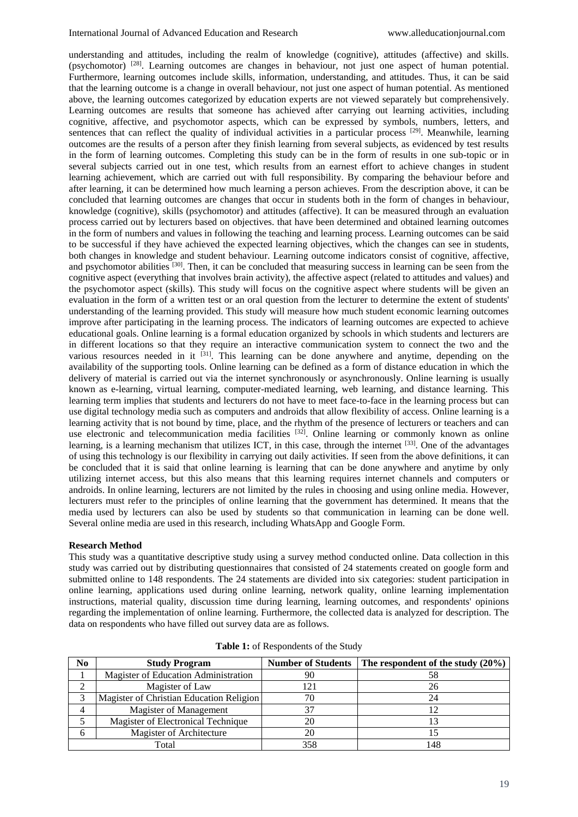understanding and attitudes, including the realm of knowledge (cognitive), attitudes (affective) and skills. (psychomotor) [28]. Learning outcomes are changes in behaviour, not just one aspect of human potential. Furthermore, learning outcomes include skills, information, understanding, and attitudes. Thus, it can be said that the learning outcome is a change in overall behaviour, not just one aspect of human potential. As mentioned above, the learning outcomes categorized by education experts are not viewed separately but comprehensively. Learning outcomes are results that someone has achieved after carrying out learning activities, including cognitive, affective, and psychomotor aspects, which can be expressed by symbols, numbers, letters, and sentences that can reflect the quality of individual activities in a particular process [29]. Meanwhile, learning outcomes are the results of a person after they finish learning from several subjects, as evidenced by test results in the form of learning outcomes. Completing this study can be in the form of results in one sub-topic or in several subjects carried out in one test, which results from an earnest effort to achieve changes in student learning achievement, which are carried out with full responsibility. By comparing the behaviour before and after learning, it can be determined how much learning a person achieves. From the description above, it can be concluded that learning outcomes are changes that occur in students both in the form of changes in behaviour, knowledge (cognitive), skills (psychomotor) and attitudes (affective). It can be measured through an evaluation process carried out by lecturers based on objectives. that have been determined and obtained learning outcomes in the form of numbers and values in following the teaching and learning process. Learning outcomes can be said to be successful if they have achieved the expected learning objectives, which the changes can see in students, both changes in knowledge and student behaviour. Learning outcome indicators consist of cognitive, affective, and psychomotor abilities <sup>[30]</sup>. Then, it can be concluded that measuring success in learning can be seen from the cognitive aspect (everything that involves brain activity), the affective aspect (related to attitudes and values) and the psychomotor aspect (skills). This study will focus on the cognitive aspect where students will be given an evaluation in the form of a written test or an oral question from the lecturer to determine the extent of students' understanding of the learning provided. This study will measure how much student economic learning outcomes improve after participating in the learning process. The indicators of learning outcomes are expected to achieve educational goals. Online learning is a formal education organized by schools in which students and lecturers are in different locations so that they require an interactive communication system to connect the two and the various resources needed in it <sup>[31]</sup>. This learning can be done anywhere and anytime, depending on the availability of the supporting tools. Online learning can be defined as a form of distance education in which the delivery of material is carried out via the internet synchronously or asynchronously. Online learning is usually known as e-learning, virtual learning, computer-mediated learning, web learning, and distance learning. This learning term implies that students and lecturers do not have to meet face-to-face in the learning process but can use digital technology media such as computers and androids that allow flexibility of access. Online learning is a learning activity that is not bound by time, place, and the rhythm of the presence of lecturers or teachers and can use electronic and telecommunication media facilities  $[32]$ . Online learning or commonly known as online learning, is a learning mechanism that utilizes ICT, in this case, through the internet [33]. One of the advantages of using this technology is our flexibility in carrying out daily activities. If seen from the above definitions, it can be concluded that it is said that online learning is learning that can be done anywhere and anytime by only utilizing internet access, but this also means that this learning requires internet channels and computers or androids. In online learning, lecturers are not limited by the rules in choosing and using online media. However, lecturers must refer to the principles of online learning that the government has determined. It means that the media used by lecturers can also be used by students so that communication in learning can be done well. Several online media are used in this research, including WhatsApp and Google Form.

#### **Research Method**

This study was a quantitative descriptive study using a survey method conducted online. Data collection in this study was carried out by distributing questionnaires that consisted of 24 statements created on google form and submitted online to 148 respondents. The 24 statements are divided into six categories: student participation in online learning, applications used during online learning, network quality, online learning implementation instructions, material quality, discussion time during learning, learning outcomes, and respondents' opinions regarding the implementation of online learning. Furthermore, the collected data is analyzed for description. The data on respondents who have filled out survey data are as follows.

| No    | <b>Study Program</b>                     |     | Number of Students   The respondent of the study $(20\%)$ |
|-------|------------------------------------------|-----|-----------------------------------------------------------|
|       | Magister of Education Administration     | 90  | 58                                                        |
|       | Magister of Law                          |     | 26                                                        |
|       | Magister of Christian Education Religion |     | 24                                                        |
|       | <b>Magister of Management</b>            |     |                                                           |
|       | Magister of Electronical Technique       |     |                                                           |
| n     | Magister of Architecture                 |     |                                                           |
| Total |                                          | 358 | l 48                                                      |

**Table 1:** of Respondents of the Study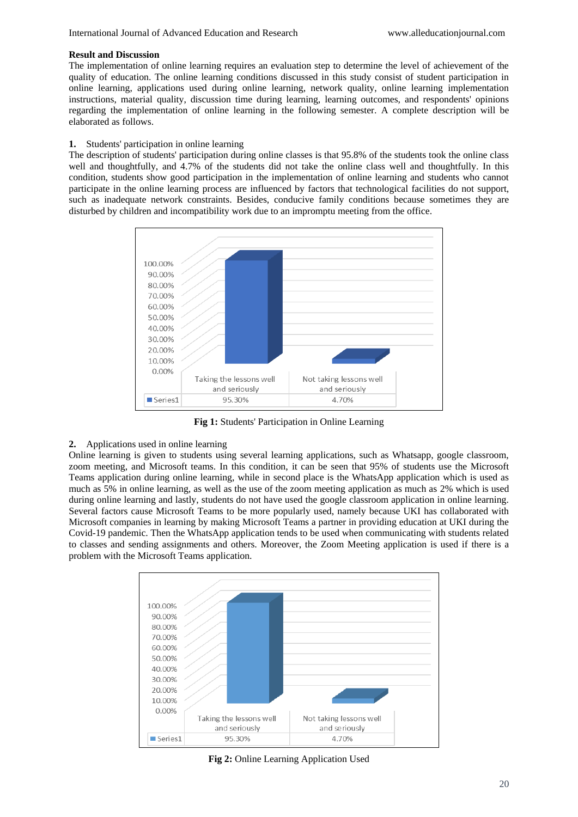#### **Result and Discussion**

The implementation of online learning requires an evaluation step to determine the level of achievement of the quality of education. The online learning conditions discussed in this study consist of student participation in online learning, applications used during online learning, network quality, online learning implementation instructions, material quality, discussion time during learning, learning outcomes, and respondents' opinions regarding the implementation of online learning in the following semester. A complete description will be elaborated as follows.

#### **1.** Students' participation in online learning

The description of students' participation during online classes is that 95.8% of the students took the online class well and thoughtfully, and 4.7% of the students did not take the online class well and thoughtfully. In this condition, students show good participation in the implementation of online learning and students who cannot participate in the online learning process are influenced by factors that technological facilities do not support, such as inadequate network constraints. Besides, conducive family conditions because sometimes they are disturbed by children and incompatibility work due to an impromptu meeting from the office.



**Fig 1:** Students' Participation in Online Learning

## **2.** Applications used in online learning

Online learning is given to students using several learning applications, such as Whatsapp, google classroom, zoom meeting, and Microsoft teams. In this condition, it can be seen that 95% of students use the Microsoft Teams application during online learning, while in second place is the WhatsApp application which is used as much as 5% in online learning, as well as the use of the zoom meeting application as much as 2% which is used during online learning and lastly, students do not have used the google classroom application in online learning. Several factors cause Microsoft Teams to be more popularly used, namely because UKI has collaborated with Microsoft companies in learning by making Microsoft Teams a partner in providing education at UKI during the Covid-19 pandemic. Then the WhatsApp application tends to be used when communicating with students related to classes and sending assignments and others. Moreover, the Zoom Meeting application is used if there is a problem with the Microsoft Teams application.



**Fig 2:** Online Learning Application Used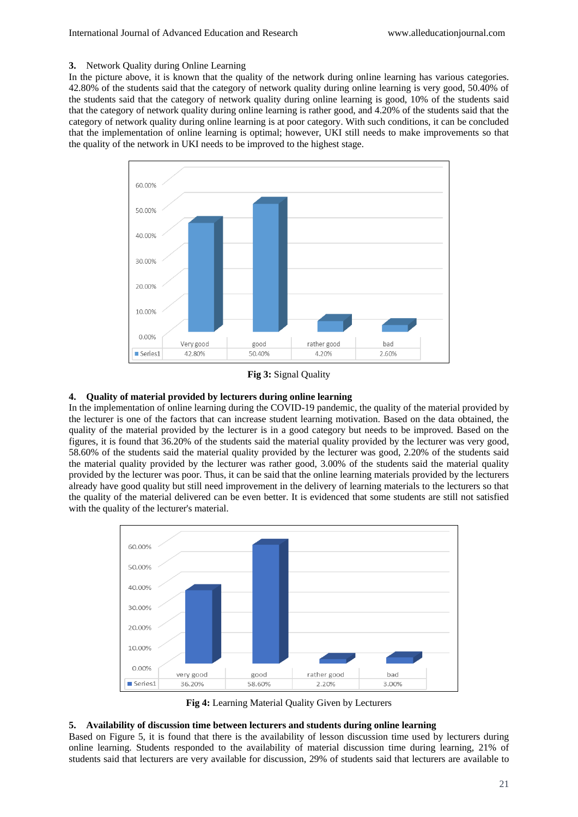#### **3.** Network Quality during Online Learning

In the picture above, it is known that the quality of the network during online learning has various categories. 42.80% of the students said that the category of network quality during online learning is very good, 50.40% of the students said that the category of network quality during online learning is good, 10% of the students said that the category of network quality during online learning is rather good, and 4.20% of the students said that the category of network quality during online learning is at poor category. With such conditions, it can be concluded that the implementation of online learning is optimal; however, UKI still needs to make improvements so that the quality of the network in UKI needs to be improved to the highest stage.



**Fig 3:** Signal Quality

## **4. Quality of material provided by lecturers during online learning**

In the implementation of online learning during the COVID-19 pandemic, the quality of the material provided by the lecturer is one of the factors that can increase student learning motivation. Based on the data obtained, the quality of the material provided by the lecturer is in a good category but needs to be improved. Based on the figures, it is found that 36.20% of the students said the material quality provided by the lecturer was very good, 58.60% of the students said the material quality provided by the lecturer was good, 2.20% of the students said the material quality provided by the lecturer was rather good, 3.00% of the students said the material quality provided by the lecturer was poor. Thus, it can be said that the online learning materials provided by the lecturers already have good quality but still need improvement in the delivery of learning materials to the lecturers so that the quality of the material delivered can be even better. It is evidenced that some students are still not satisfied with the quality of the lecturer's material.



**Fig 4:** Learning Material Quality Given by Lecturers

## **5. Availability of discussion time between lecturers and students during online learning**

Based on Figure 5, it is found that there is the availability of lesson discussion time used by lecturers during online learning. Students responded to the availability of material discussion time during learning, 21% of students said that lecturers are very available for discussion, 29% of students said that lecturers are available to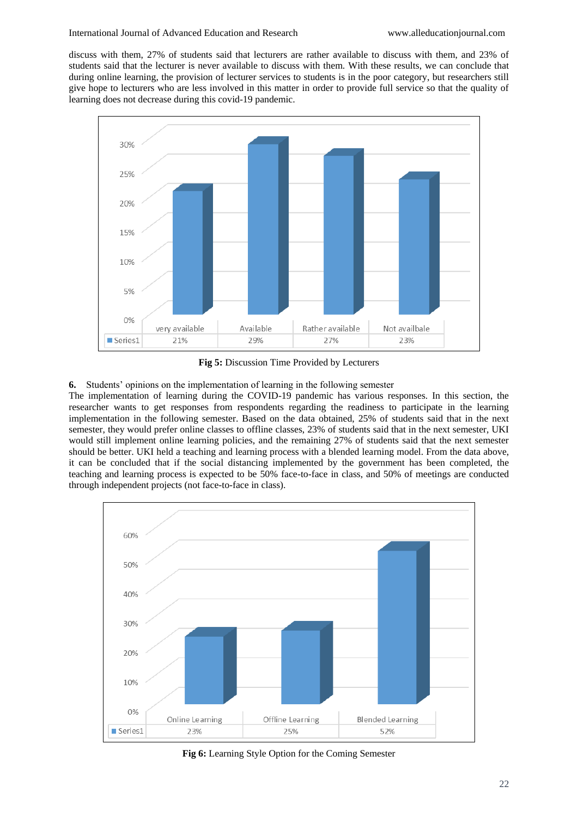discuss with them, 27% of students said that lecturers are rather available to discuss with them, and 23% of students said that the lecturer is never available to discuss with them. With these results, we can conclude that during online learning, the provision of lecturer services to students is in the poor category, but researchers still give hope to lecturers who are less involved in this matter in order to provide full service so that the quality of learning does not decrease during this covid-19 pandemic.



**Fig 5:** Discussion Time Provided by Lecturers

**6.** Students' opinions on the implementation of learning in the following semester

The implementation of learning during the COVID-19 pandemic has various responses. In this section, the researcher wants to get responses from respondents regarding the readiness to participate in the learning implementation in the following semester. Based on the data obtained, 25% of students said that in the next semester, they would prefer online classes to offline classes, 23% of students said that in the next semester, UKI would still implement online learning policies, and the remaining 27% of students said that the next semester should be better. UKI held a teaching and learning process with a blended learning model. From the data above, it can be concluded that if the social distancing implemented by the government has been completed, the teaching and learning process is expected to be 50% face-to-face in class, and 50% of meetings are conducted through independent projects (not face-to-face in class).



**Fig 6:** Learning Style Option for the Coming Semester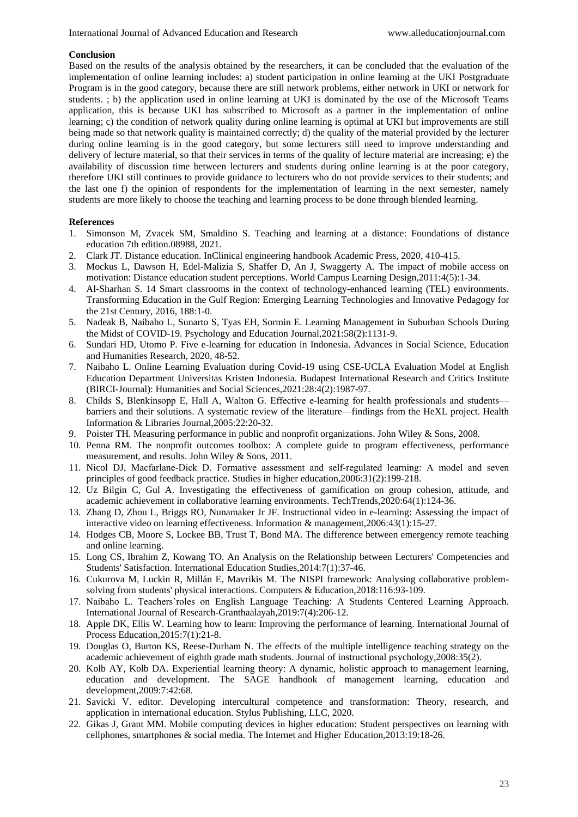#### **Conclusion**

Based on the results of the analysis obtained by the researchers, it can be concluded that the evaluation of the implementation of online learning includes: a) student participation in online learning at the UKI Postgraduate Program is in the good category, because there are still network problems, either network in UKI or network for students. ; b) the application used in online learning at UKI is dominated by the use of the Microsoft Teams application, this is because UKI has subscribed to Microsoft as a partner in the implementation of online learning; c) the condition of network quality during online learning is optimal at UKI but improvements are still being made so that network quality is maintained correctly; d) the quality of the material provided by the lecturer during online learning is in the good category, but some lecturers still need to improve understanding and delivery of lecture material, so that their services in terms of the quality of lecture material are increasing; e) the availability of discussion time between lecturers and students during online learning is at the poor category, therefore UKI still continues to provide guidance to lecturers who do not provide services to their students; and the last one f) the opinion of respondents for the implementation of learning in the next semester, namely students are more likely to choose the teaching and learning process to be done through blended learning.

### **References**

- 1. Simonson M, Zvacek SM, Smaldino S. Teaching and learning at a distance: Foundations of distance education 7th edition.08988, 2021.
- 2. Clark JT. Distance education. InClinical engineering handbook Academic Press, 2020, 410-415.
- 3. Mockus L, Dawson H, Edel-Malizia S, Shaffer D, An J, Swaggerty A. The impact of mobile access on motivation: Distance education student perceptions. World Campus Learning Design,2011:4(5):1-34.
- 4. Al-Sharhan S. 14 Smart classrooms in the context of technology-enhanced learning (TEL) environments. Transforming Education in the Gulf Region: Emerging Learning Technologies and Innovative Pedagogy for the 21st Century, 2016, 188:1-0.
- 5. Nadeak B, Naibaho L, Sunarto S, Tyas EH, Sormin E. Learning Management in Suburban Schools During the Midst of COVID-19. Psychology and Education Journal,2021:58(2):1131-9.
- 6. Sundari HD, Utomo P. Five e-learning for education in Indonesia. Advances in Social Science, Education and Humanities Research, 2020, 48-52.
- 7. Naibaho L. Online Learning Evaluation during Covid-19 using CSE-UCLA Evaluation Model at English Education Department Universitas Kristen Indonesia. Budapest International Research and Critics Institute (BIRCI-Journal): Humanities and Social Sciences,2021:28:4(2):1987-97.
- 8. Childs S, Blenkinsopp E, Hall A, Walton G. Effective e-learning for health professionals and students barriers and their solutions. A systematic review of the literature—findings from the HeXL project. Health Information & Libraries Journal,2005:22:20-32.
- 9. Poister TH. Measuring performance in public and nonprofit organizations. John Wiley & Sons, 2008.
- 10. Penna RM. The nonprofit outcomes toolbox: A complete guide to program effectiveness, performance measurement, and results. John Wiley & Sons, 2011.
- 11. Nicol DJ, Macfarlane‐Dick D. Formative assessment and self‐regulated learning: A model and seven principles of good feedback practice. Studies in higher education,2006:31(2):199-218.
- 12. Uz Bilgin C, Gul A. Investigating the effectiveness of gamification on group cohesion, attitude, and academic achievement in collaborative learning environments. TechTrends,2020:64(1):124-36.
- 13. Zhang D, Zhou L, Briggs RO, Nunamaker Jr JF. Instructional video in e-learning: Assessing the impact of interactive video on learning effectiveness. Information & management,2006:43(1):15-27.
- 14. Hodges CB, Moore S, Lockee BB, Trust T, Bond MA. The difference between emergency remote teaching and online learning.
- 15. Long CS, Ibrahim Z, Kowang TO. An Analysis on the Relationship between Lecturers' Competencies and Students' Satisfaction. International Education Studies,2014:7(1):37-46.
- 16. Cukurova M, Luckin R, Millán E, Mavrikis M. The NISPI framework: Analysing collaborative problemsolving from students' physical interactions. Computers & Education,2018:116:93-109.
- 17. Naibaho L. Teachers'roles on English Language Teaching: A Students Centered Learning Approach. International Journal of Research-Granthaalayah,2019:7(4):206-12.
- 18. Apple DK, Ellis W. Learning how to learn: Improving the performance of learning. International Journal of Process Education,2015:7(1):21-8.
- 19. Douglas O, Burton KS, Reese-Durham N. The effects of the multiple intelligence teaching strategy on the academic achievement of eighth grade math students. Journal of instructional psychology,2008:35(2).
- 20. Kolb AY, Kolb DA. Experiential learning theory: A dynamic, holistic approach to management learning, education and development. The SAGE handbook of management learning, education and development,2009:7:42:68.
- 21. Savicki V. editor. Developing intercultural competence and transformation: Theory, research, and application in international education. Stylus Publishing, LLC, 2020.
- 22. Gikas J, Grant MM. Mobile computing devices in higher education: Student perspectives on learning with cellphones, smartphones & social media. The Internet and Higher Education,2013:19:18-26.